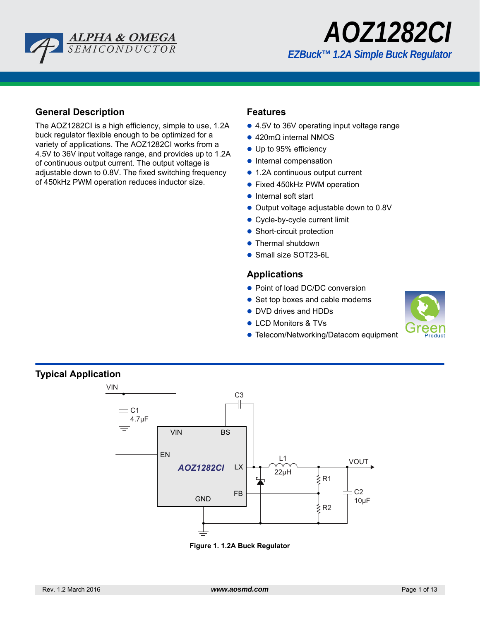



## **General Description**

The AOZ1282CI is a high efficiency, simple to use, 1.2A buck regulator flexible enough to be optimized for a variety of applications. The AOZ1282CI works from a 4.5V to 36V input voltage range, and provides up to 1.2A of continuous output current. The output voltage is adjustable down to 0.8V. The fixed switching frequency of 450kHz PWM operation reduces inductor size.

### **Features**

- 4.5V to 36V operating input voltage range
- 420mΩ internal NMOS
- Up to 95% efficiency
- Internal compensation
- 1.2A continuous output current
- **•** Fixed 450kHz PWM operation
- Internal soft start
- Output voltage adjustable down to 0.8V
- Cycle-by-cycle current limit
- Short-circuit protection
- Thermal shutdown
- Small size SOT23-6L

### **Applications**

- Point of load DC/DC conversion
- Set top boxes and cable modems
- DVD drives and HDDs
- LCD Monitors & TVs
- Telecom/Networking/Datacom equipment





#### **Figure 1. 1.2A Buck Regulator**

**Typical Application**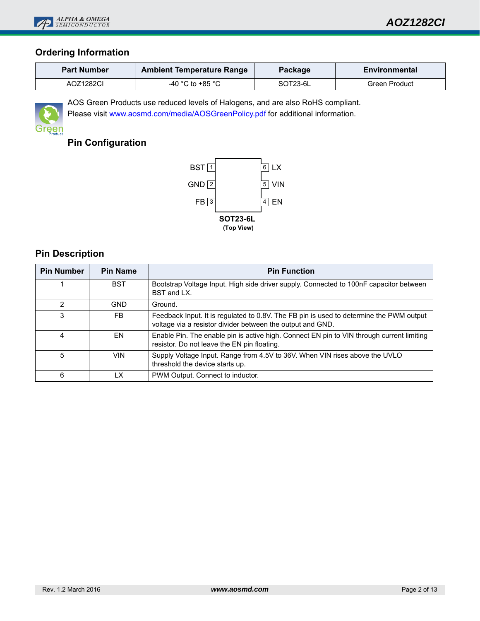

## **Ordering Information**

| <b>Part Number</b> | <b>Ambient Temperature Range</b> | Environmental |               |  |
|--------------------|----------------------------------|---------------|---------------|--|
| AOZ1282CI          | -40 °C to +85 °C                 | SOT23-6L      | Green Product |  |



AOS Green Products use reduced levels of Halogens, and are also RoHS compliant. Please visit www.aosmd.com/media/AOSGreenPolicy.pdf for additional information.

# **Pin Configuration**



## **Pin Description**

| <b>Pin Number</b> | <b>Pin Name</b> | <b>Pin Function</b>                                                                                                                                   |
|-------------------|-----------------|-------------------------------------------------------------------------------------------------------------------------------------------------------|
|                   | <b>BST</b>      | Bootstrap Voltage Input. High side driver supply. Connected to 100nF capacitor between<br>BST and LX.                                                 |
| 2                 | <b>GND</b>      | Ground.                                                                                                                                               |
| 3                 | FB.             | Feedback Input. It is regulated to 0.8V. The FB pin is used to determine the PWM output<br>voltage via a resistor divider between the output and GND. |
| 4                 | EN              | Enable Pin. The enable pin is active high. Connect EN pin to VIN through current limiting<br>resistor. Do not leave the EN pin floating.              |
| 5                 | VIN.            | Supply Voltage Input. Range from 4.5V to 36V. When VIN rises above the UVLO<br>threshold the device starts up.                                        |
| 6                 | LX              | PWM Output. Connect to inductor.                                                                                                                      |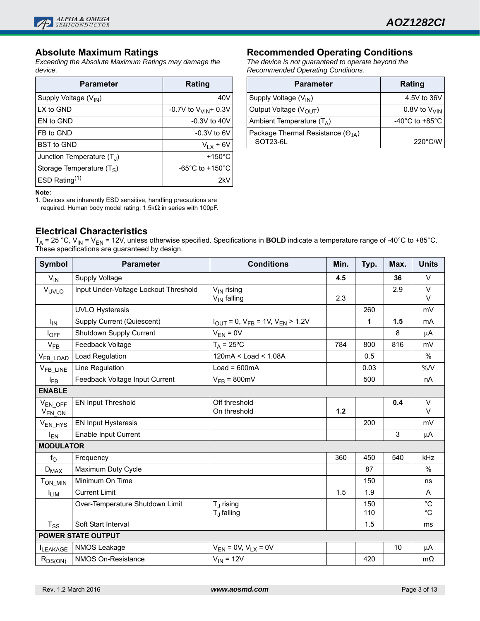

## **Absolute Maximum Ratings**

*Exceeding the Absolute Maximum Ratings may damage the device.*

| <b>Parameter</b>                  | Rating                                |
|-----------------------------------|---------------------------------------|
| Supply Voltage (V <sub>IN</sub> ) | 40V                                   |
| LX to GND                         | -0.7V to $V_{VIN}$ + 0.3V             |
| EN to GND                         | $-0.3V$ to $40V$                      |
| FB to GND                         | $-0.3V$ to 6V                         |
| <b>BST to GND</b>                 | $V_{LX}$ + 6V                         |
| Junction Temperature $(T_1)$      | $+150^{\circ}$ C                      |
| Storage Temperature $(T_S)$       | -65 $^{\circ}$ C to +150 $^{\circ}$ C |
| ESD Rating $(1)$                  | 2kV                                   |

#### **Note:**

1. Devices are inherently ESD sensitive, handling precautions are required. Human body model rating: 1.5kΩ in series with 100pF.

## **Electrical Characteristics**

**Recommended Operating Conditions**

*The device is not guaranteed to operate beyond the Recommended Operating Conditions.*

| <b>Parameter</b>                                       | Rating                               |
|--------------------------------------------------------|--------------------------------------|
| Supply Voltage (V <sub>IN</sub> )                      | 4.5V to 36V                          |
| Output Voltage (V <sub>OUT</sub> )                     | $0.8V$ to $V_{VIN}$                  |
| Ambient Temperature $(T_A)$                            | -40 $^{\circ}$ C to +85 $^{\circ}$ C |
| Package Thermal Resistance $(\Theta_{IA})$<br>SOT23-6L | $220^{\circ}$ C/W                    |

|                                                | $T_A$ = 25 °C, V <sub>IN</sub> = V <sub>EN</sub> = 12V, unless otherwise specified. Specifications in <b>BOLD</b> indicate a temperature range of -40°C to +85°C. |
|------------------------------------------------|-------------------------------------------------------------------------------------------------------------------------------------------------------------------|
| These specifications are guaranteed by design. |                                                                                                                                                                   |

| <b>Symbol</b>                | <b>Parameter</b>                      | <b>Conditions</b>                               | Min.  | Typ.         | Max. | <b>Units</b>               |
|------------------------------|---------------------------------------|-------------------------------------------------|-------|--------------|------|----------------------------|
| $V_{IN}$                     | Supply Voltage                        |                                                 | 4.5   |              | 36   | $\vee$                     |
| VUVLO                        | Input Under-Voltage Lockout Threshold | $V_{IN}$ rising<br>$V_{IN}$ falling             | 2.3   |              | 2.9  | $\vee$<br>$\vee$           |
|                              | <b>UVLO Hysteresis</b>                |                                                 |       | 260          |      | mV                         |
| $I_{IN}$                     | <b>Supply Current (Quiescent)</b>     | $I_{OUT} = 0$ , $V_{FB} = 1V$ , $V_{EN} > 1.2V$ |       | $\mathbf{1}$ | 1.5  | mA                         |
| $I_{OFF}$                    | Shutdown Supply Current               | $V_{EN} = 0V$                                   |       |              | 8    | $\mu$ A                    |
| $V_{FB}$                     | Feedback Voltage                      | $T_A = 25$ °C                                   | 784   | 800          | 816  | mV                         |
| V <sub>FB_LOAD</sub>         | Load Regulation                       | $120mA <$ Load $<$ 1.08A                        |       | 0.5          |      | $\%$                       |
| V <sub>FB_LINE</sub>         | Line Regulation                       | $Load = 600mA$                                  |       | 0.03         |      | %N                         |
| $I_{FB}$                     | Feedback Voltage Input Current        | $V_{FB}$ = 800mV                                |       | 500          |      | nA                         |
| <b>ENABLE</b>                |                                       |                                                 |       |              |      |                            |
| $V_{EN_OFF}$<br>$V_{EN\_ON}$ | <b>EN Input Threshold</b>             | Off threshold<br>On threshold                   | $1.2$ |              | 0.4  | $\vee$<br>V                |
| V <sub>EN_HYS</sub>          | <b>EN Input Hysteresis</b>            |                                                 |       | 200          |      | mV                         |
| $I_{EN}$                     | <b>Enable Input Current</b>           |                                                 |       |              | 3    | μA                         |
| <b>MODULATOR</b>             |                                       |                                                 |       |              |      |                            |
| $f_{\rm O}$                  | Frequency                             |                                                 | 360   | 450          | 540  | kHz                        |
| $D_{MAX}$                    | Maximum Duty Cycle                    |                                                 |       | 87           |      | $\%$                       |
| $T_{ON\_MIN}$                | Minimum On Time                       |                                                 |       | 150          |      | ns                         |
| <sup>I</sup> LIM             | <b>Current Limit</b>                  |                                                 | 1.5   | 1.9          |      | A                          |
|                              | Over-Temperature Shutdown Limit       | $T_{\rm J}$ rising<br>$T_{\mathrm{J}}$ falling  |       | 150<br>110   |      | $^{\circ}C$<br>$^{\circ}C$ |
| $T_{SS}$                     | Soft Start Interval                   |                                                 |       | 1.5          |      | ms                         |
|                              | <b>POWER STATE OUTPUT</b>             |                                                 |       |              |      |                            |
| <b>ILEAKAGE</b>              | NMOS Leakage                          | $V_{EN} = 0V, V_{LX} = 0V$                      |       |              | 10   | $\mu$ A                    |
| $R_{DS(ON)}$                 | NMOS On-Resistance                    | $V_{IN}$ = 12V                                  |       | 420          |      | $m\Omega$                  |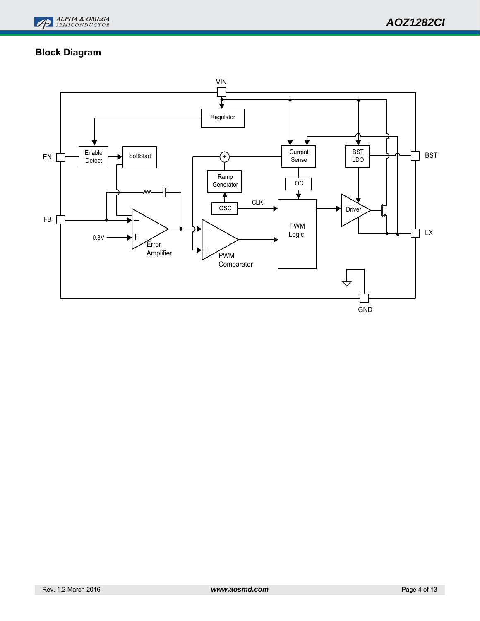

# **Block Diagram**

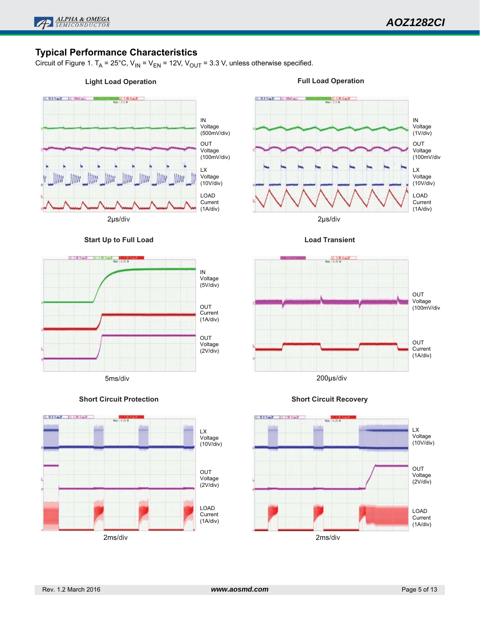

## **Typical Performance Characteristics**

Circuit of Figure 1. T<sub>A</sub> = 25°C, V<sub>IN</sub> = V<sub>EN</sub> = 12V, V<sub>OUT</sub> = 3.3 V, unless otherwise specified.

IN Voltage (5V/div)

OUT Current (1A/div)

OUT Voltage (2V/div)

(1A/div)

#### **Light Load Operation**

#### **Full Load Operation**



**CLEAVING ISSNYICE** 













Rev. 1.2 March 2016 *www.aosmd.com* Page 5 of 13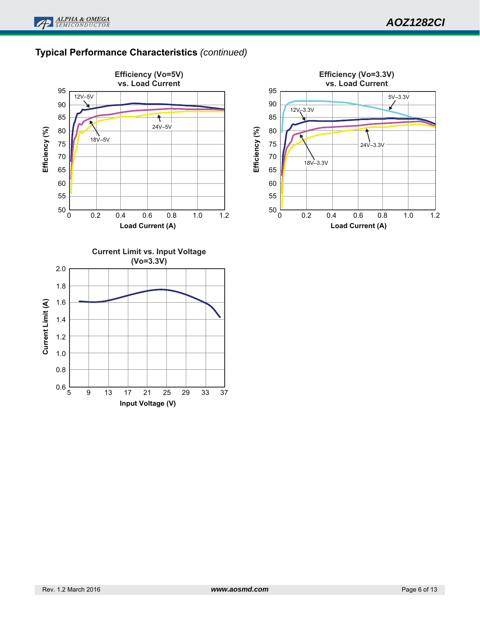# **Typical Performance Characteristics** *(continued)*

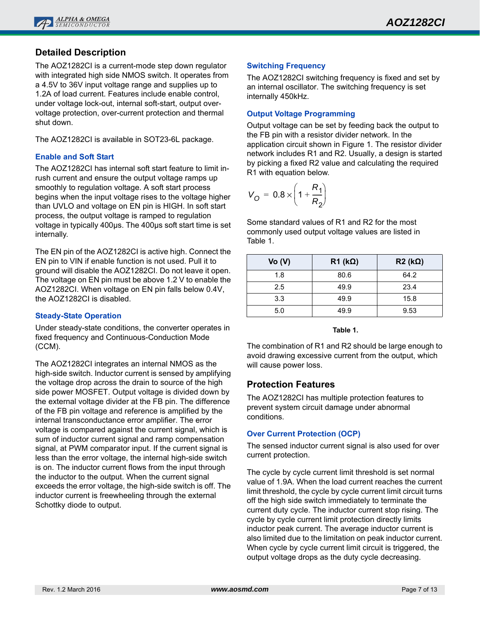## **Detailed Description**

The AOZ1282CI is a current-mode step down regulator with integrated high side NMOS switch. It operates from a 4.5V to 36V input voltage range and supplies up to 1.2A of load current. Features include enable control, under voltage lock-out, internal soft-start, output overvoltage protection, over-current protection and thermal shut down.

The AOZ1282CI is available in SOT23-6L package.

### **Enable and Soft Start**

The AOZ1282CI has internal soft start feature to limit inrush current and ensure the output voltage ramps up smoothly to regulation voltage. A soft start process begins when the input voltage rises to the voltage higher than UVLO and voltage on EN pin is HIGH. In soft start process, the output voltage is ramped to regulation voltage in typically 400µs. The 400µs soft start time is set internally.

The EN pin of the AOZ1282CI is active high. Connect the EN pin to VIN if enable function is not used. Pull it to ground will disable the AOZ1282CI. Do not leave it open. The voltage on EN pin must be above 1.2 V to enable the AOZ1282CI. When voltage on EN pin falls below 0.4V, the AOZ1282CI is disabled.

### **Steady-State Operation**

Under steady-state conditions, the converter operates in fixed frequency and Continuous-Conduction Mode (CCM).

The AOZ1282CI integrates an internal NMOS as the high-side switch. Inductor current is sensed by amplifying the voltage drop across the drain to source of the high side power MOSFET. Output voltage is divided down by the external voltage divider at the FB pin. The difference of the FB pin voltage and reference is amplified by the internal transconductance error amplifier. The error voltage is compared against the current signal, which is sum of inductor current signal and ramp compensation signal, at PWM comparator input. If the current signal is less than the error voltage, the internal high-side switch is on. The inductor current flows from the input through the inductor to the output. When the current signal exceeds the error voltage, the high-side switch is off. The inductor current is freewheeling through the external Schottky diode to output.

#### **Switching Frequency**

The AOZ1282CI switching frequency is fixed and set by an internal oscillator. The switching frequency is set internally 450kHz.

### **Output Voltage Programming**

Output voltage can be set by feeding back the output to the FB pin with a resistor divider network. In the application circuit shown in Figure 1. The resistor divider network includes R1 and R2. Usually, a design is started by picking a fixed R2 value and calculating the required R1 with equation below.

$$
V_{O} = 0.8 \times \left(1 + \frac{R_1}{R_2}\right)
$$

Some standard values of R1 and R2 for the most commonly used output voltage values are listed in Table 1.

| Vo (V) | $R1$ (k $\Omega$ ) | $R2 (k\Omega)$ |
|--------|--------------------|----------------|
| 1.8    | 80.6               | 64.2           |
| 2.5    | 49.9               | 23.4           |
| 3.3    | 49.9               | 15.8           |
| 5.0    | 49.9               | 9.53           |

#### **Table 1.**

The combination of R1 and R2 should be large enough to avoid drawing excessive current from the output, which will cause power loss.

## **Protection Features**

The AOZ1282CI has multiple protection features to prevent system circuit damage under abnormal conditions.

### **Over Current Protection (OCP)**

The sensed inductor current signal is also used for over current protection.

The cycle by cycle current limit threshold is set normal value of 1.9A. When the load current reaches the current limit threshold, the cycle by cycle current limit circuit turns off the high side switch immediately to terminate the current duty cycle. The inductor current stop rising. The cycle by cycle current limit protection directly limits inductor peak current. The average inductor current is also limited due to the limitation on peak inductor current. When cycle by cycle current limit circuit is triggered, the output voltage drops as the duty cycle decreasing.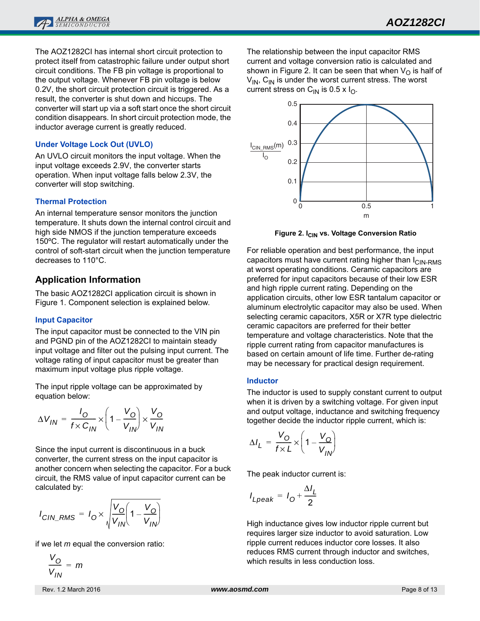The AOZ1282CI has internal short circuit protection to protect itself from catastrophic failure under output short circuit conditions. The FB pin voltage is proportional to the output voltage. Whenever FB pin voltage is below 0.2V, the short circuit protection circuit is triggered. As a result, the converter is shut down and hiccups. The converter will start up via a soft start once the short circuit condition disappears. In short circuit protection mode, the inductor average current is greatly reduced.

### **Under Voltage Lock Out (UVLO)**

An UVLO circuit monitors the input voltage. When the input voltage exceeds 2.9V, the converter starts operation. When input voltage falls below 2.3V, the converter will stop switching.

### **Thermal Protection**

An internal temperature sensor monitors the junction temperature. It shuts down the internal control circuit and high side NMOS if the junction temperature exceeds 150ºC. The regulator will restart automatically under the control of soft-start circuit when the junction temperature decreases to 110°C.

## **Application Information**

The basic AOZ1282CI application circuit is shown in Figure 1. Component selection is explained below.

### **Input Capacitor**

The input capacitor must be connected to the VIN pin and PGND pin of the AOZ1282CI to maintain steady input voltage and filter out the pulsing input current. The voltage rating of input capacitor must be greater than maximum input voltage plus ripple voltage.

The input ripple voltage can be approximated by equation below:

$$
\Delta V_{IN} = \frac{I_O}{f \times C_{IN}} \times \left(1 - \frac{V_O}{V_{IN}}\right) \times \frac{V_O}{V_{IN}}
$$

Since the input current is discontinuous in a buck converter, the current stress on the input capacitor is another concern when selecting the capacitor. For a buck circuit, the RMS value of input capacitor current can be calculated by:

$$
I_{CIN\_RMS} = I_0 \times \sqrt{\frac{V_0}{V_{IN}} \left(1 - \frac{V_0}{V_{IN}}\right)}
$$

if we let *m* equal the conversion ratio:

$$
\frac{V_O}{V_{IN}} = m
$$

Rev. 1.2 March 2016 *www.aosmd.com* Page 8 of 13

The relationship between the input capacitor RMS current and voltage conversion ratio is calculated and shown in Figure 2. It can be seen that when  $V_{\Omega}$  is half of  $V_{IN}$ ,  $C_{IN}$  is under the worst current stress. The worst current stress on C<sub>IN</sub> is 0.5 x I<sub>O</sub>.



**Figure 2. I<sub>CIN</sub> vs. Voltage Conversion Ratio** 

For reliable operation and best performance, the input capacitors must have current rating higher than  $I_{\text{CIN-RMS}}$ at worst operating conditions. Ceramic capacitors are preferred for input capacitors because of their low ESR and high ripple current rating. Depending on the application circuits, other low ESR tantalum capacitor or aluminum electrolytic capacitor may also be used. When selecting ceramic capacitors, X5R or X7R type dielectric ceramic capacitors are preferred for their better temperature and voltage characteristics. Note that the ripple current rating from capacitor manufactures is based on certain amount of life time. Further de-rating may be necessary for practical design requirement.

### **Inductor**

The inductor is used to supply constant current to output when it is driven by a switching voltage. For given input and output voltage, inductance and switching frequency together decide the inductor ripple current, which is:

$$
\Delta I_L = \frac{V_O}{f \times L} \times \left(1 - \frac{V_O}{V_{IN}}\right)
$$

The peak inductor current is:

$$
I_{Lpeak} = I_0 + \frac{\Delta I_L}{2}
$$

High inductance gives low inductor ripple current but requires larger size inductor to avoid saturation. Low ripple current reduces inductor core losses. It also reduces RMS current through inductor and switches, which results in less conduction loss.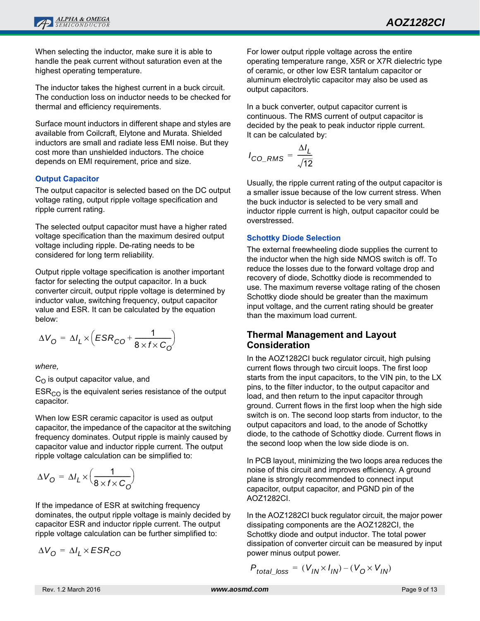When selecting the inductor, make sure it is able to handle the peak current without saturation even at the highest operating temperature.

The inductor takes the highest current in a buck circuit. The conduction loss on inductor needs to be checked for thermal and efficiency requirements.

Surface mount inductors in different shape and styles are available from Coilcraft, Elytone and Murata. Shielded inductors are small and radiate less EMI noise. But they cost more than unshielded inductors. The choice depends on EMI requirement, price and size.

### **Output Capacitor**

The output capacitor is selected based on the DC output voltage rating, output ripple voltage specification and ripple current rating.

The selected output capacitor must have a higher rated voltage specification than the maximum desired output voltage including ripple. De-rating needs to be considered for long term reliability.

Output ripple voltage specification is another important factor for selecting the output capacitor. In a buck converter circuit, output ripple voltage is determined by inductor value, switching frequency, output capacitor value and ESR. It can be calculated by the equation below:

$$
\Delta V_{\rm O} = \Delta I_L \times \left( ESR_{\rm CO} + \frac{1}{8 \times f \times C_{\rm O}} \right)
$$

*where,* 

 $C_O$  is output capacitor value, and

 $ESR<sub>CO</sub>$  is the equivalent series resistance of the output capacitor.

When low ESR ceramic capacitor is used as output capacitor, the impedance of the capacitor at the switching frequency dominates. Output ripple is mainly caused by capacitor value and inductor ripple current. The output ripple voltage calculation can be simplified to:

$$
\Delta V_{\rm O} = \Delta I_L \times \left(\frac{1}{8 \times f \times C_{\rm O}}\right)
$$

If the impedance of ESR at switching frequency dominates, the output ripple voltage is mainly decided by capacitor ESR and inductor ripple current. The output ripple voltage calculation can be further simplified to:

$$
\Delta V_{\rm O} = \Delta I_L \times ESR_{CO}
$$

For lower output ripple voltage across the entire operating temperature range, X5R or X7R dielectric type of ceramic, or other low ESR tantalum capacitor or aluminum electrolytic capacitor may also be used as output capacitors.

In a buck converter, output capacitor current is continuous. The RMS current of output capacitor is decided by the peak to peak inductor ripple current. It can be calculated by:

$$
I_{CO\_RMS} = \frac{\Delta I_L}{\sqrt{12}}
$$

Usually, the ripple current rating of the output capacitor is a smaller issue because of the low current stress. When the buck inductor is selected to be very small and inductor ripple current is high, output capacitor could be overstressed.

### **Schottky Diode Selection**

The external freewheeling diode supplies the current to the inductor when the high side NMOS switch is off. To reduce the losses due to the forward voltage drop and recovery of diode, Schottky diode is recommended to use. The maximum reverse voltage rating of the chosen Schottky diode should be greater than the maximum input voltage, and the current rating should be greater than the maximum load current.

## **Thermal Management and Layout Consideration**

In the AOZ1282CI buck regulator circuit, high pulsing current flows through two circuit loops. The first loop starts from the input capacitors, to the VIN pin, to the LX pins, to the filter inductor, to the output capacitor and load, and then return to the input capacitor through ground. Current flows in the first loop when the high side switch is on. The second loop starts from inductor, to the output capacitors and load, to the anode of Schottky diode, to the cathode of Schottky diode. Current flows in the second loop when the low side diode is on.

In PCB layout, minimizing the two loops area reduces the noise of this circuit and improves efficiency. A ground plane is strongly recommended to connect input capacitor, output capacitor, and PGND pin of the AOZ1282CI.

In the AOZ1282CI buck regulator circuit, the major power dissipating components are the AOZ1282CI, the Schottky diode and output inductor. The total power dissipation of converter circuit can be measured by input power minus output power.

$$
P_{total\_loss} = (V_{IN} \times I_{IN}) - (V_0 \times V_{IN})
$$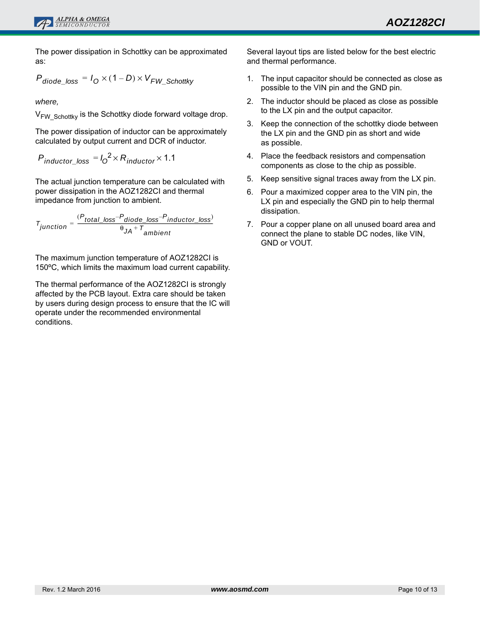The power dissipation in Schottky can be approximated as:

$$
P_{\text{diode\_loss}} = I_0 \times (1 - D) \times V_{FW\_Schottky}
$$

*where,* 

 $V_{FW-Schottky}$  is the Schottky diode forward voltage drop.

The power dissipation of inductor can be approximately calculated by output current and DCR of inductor.

$$
P_{inductor\_loss} = I_0^2 \times R_{inductor} \times 1.1
$$

The actual junction temperature can be calculated with power dissipation in the AOZ1282CI and thermal impedance from junction to ambient.

*Tjunction Ptotal\_loss Pdiode\_loss* – *Pinductor\_loss* ( ) – <sup>θ</sup>*JA* <sup>+</sup> *<sup>T</sup> ambient*  $=\frac{10 \text{ rad} - 10 \text{ s}}{10 \text{ rad} - 10 \text{ s}}$   $\frac{0.15 \text{ rad}}{10 \text{ s}}$   $\frac{0.15 \text{ rad}}{10 \text{ s}}$   $\frac{0.15 \text{ rad}}{10 \text{ s}}$   $\frac{0.15 \text{ rad}}{10 \text{ s}}$   $\frac{0.15 \text{ rad}}{10 \text{ s}}$   $\frac{0.15 \text{ rad}}{10 \text{ s}}$   $\frac{0.15 \text{ rad}}{10 \text{ rad}}$   $\frac{0.15 \text{ rad}}{10 \text{ rad}}$ 

The maximum junction temperature of AOZ1282CI is 150ºC, which limits the maximum load current capability.

The thermal performance of the AOZ1282CI is strongly affected by the PCB layout. Extra care should be taken by users during design process to ensure that the IC will operate under the recommended environmental conditions.

Several layout tips are listed below for the best electric and thermal performance.

- 1. The input capacitor should be connected as close as possible to the VIN pin and the GND pin.
- 2. The inductor should be placed as close as possible to the LX pin and the output capacitor.
- 3. Keep the connection of the schottky diode between the LX pin and the GND pin as short and wide as possible.
- 4. Place the feedback resistors and compensation components as close to the chip as possible.
- 5. Keep sensitive signal traces away from the LX pin.
- 6. Pour a maximized copper area to the VIN pin, the LX pin and especially the GND pin to help thermal dissipation.
- 7. Pour a copper plane on all unused board area and connect the plane to stable DC nodes, like VIN, GND or VOUT.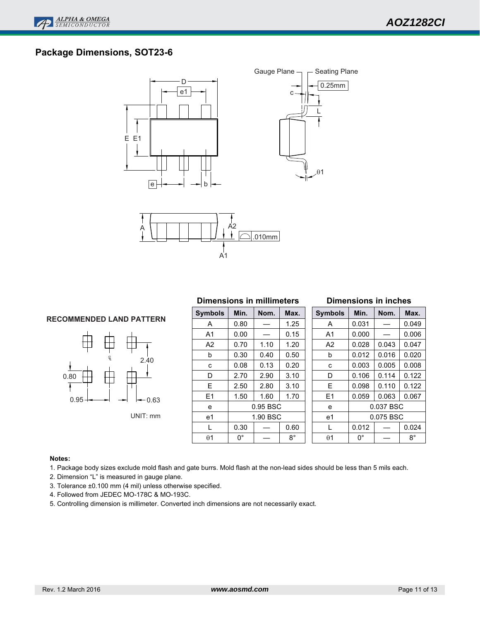## **Package Dimensions, SOT23-6**







#### **RECOMMENDED LAND PATTERN**



#### **Dimensions in millimeters**

| <b>Symbols</b> | Min.         | Nom.     | Max. |  |  |  |  |
|----------------|--------------|----------|------|--|--|--|--|
| А              | 0.80         |          | 1.25 |  |  |  |  |
| A1             | 0.00         |          | 0.15 |  |  |  |  |
| A2             | 0.70         | 1.10     | 1.20 |  |  |  |  |
| b              | 0.30         | 0.40     | 0.50 |  |  |  |  |
| C              | 0.08<br>0.13 |          | 0.20 |  |  |  |  |
| D              | 2.70         | 2.90     | 3.10 |  |  |  |  |
| E              | 2.50<br>2.80 |          | 3.10 |  |  |  |  |
| E1             | 1.50         | 1.60     | 1.70 |  |  |  |  |
| e              |              | 0.95 BSC |      |  |  |  |  |
| e1             | 1.90 BSC     |          |      |  |  |  |  |
| L              | 0.30         |          | 0.60 |  |  |  |  |
| θ1             | ŋ۰           |          | R°   |  |  |  |  |
|                |              |          |      |  |  |  |  |

#### **Dimensions in inches**

| <b>Symbols</b> | Min.      | Nom.      | Max.  |  |
|----------------|-----------|-----------|-------|--|
| A              | 0.031     |           | 0.049 |  |
| A1             | 0.000     |           | 0.006 |  |
| A2             | 0.028     | 0.043     | 0.047 |  |
| b              | 0.012     | 0.016     | 0.020 |  |
| C              | 0.003     | 0.005     | 0.008 |  |
| D              | 0.106     | 0.114     | 0.122 |  |
| F              | 0.098     | 0.110     | 0.122 |  |
| F1             | 0.059     | 0.063     | 0.067 |  |
| e              |           | 0.037 BSC |       |  |
| e1             | 0.075 BSC |           |       |  |
| L              | 0.012     |           | 0.024 |  |
| θ1             | n°        |           | 8°    |  |

#### **Notes:**

1. Package body sizes exclude mold flash and gate burrs. Mold flash at the non-lead sides should be less than 5 mils each.

- 2. Dimension "L" is measured in gauge plane.
- 3. Tolerance ±0.100 mm (4 mil) unless otherwise specified.
- 4. Followed from JEDEC MO-178C & MO-193C.
- 5. Controlling dimension is millimeter. Converted inch dimensions are not necessarily exact.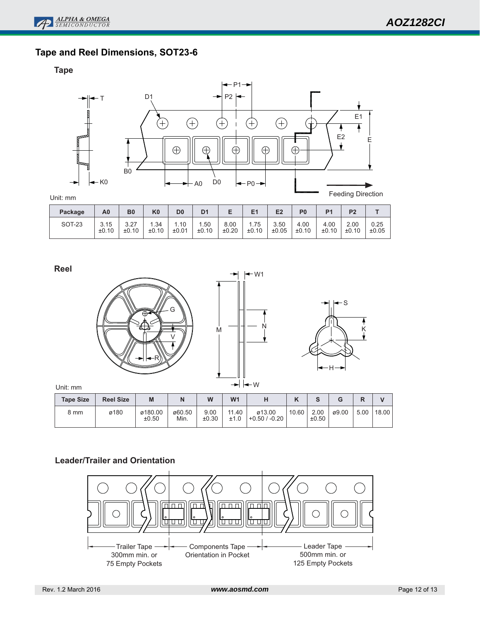# **Tape and Reel Dimensions, SOT23-6**

**Tape**



| Package       | A0    | B <sub>0</sub> | K <sub>0</sub> | D <sub>0</sub> | D <sub>1</sub> |       | E1    | E <sub>2</sub> | P <sub>0</sub> | P <sub>1</sub> | P <sub>2</sub> |       |
|---------------|-------|----------------|----------------|----------------|----------------|-------|-------|----------------|----------------|----------------|----------------|-------|
| <b>SOT-23</b> | 3.15  | 3.27           | .34            | 1.10           | 1.50           | 8.00  | 1.75  | 3.50           | 4.00           | 4.00           | 2.00           | 0.25  |
|               | ±0.10 | ±0.10          | ±0.10          | ±0.01          | ±0.10          | ±0.20 | ±0.10 | ±0.05          | ±0.10          | ±0.10          | ±0.10          | ±0.05 |

**Reel**







Unit: mm

| <b>Tape Size</b> | <b>Reel Size</b> | M                | N              | W             | W <sub>1</sub> | н                         | $\overline{ }$<br>n | ົ<br>o        |       | D<br>r | $\mathbf{v}$ |
|------------------|------------------|------------------|----------------|---------------|----------------|---------------------------|---------------------|---------------|-------|--------|--------------|
| 8 mm             | ø180             | ø180.00<br>±0.50 | ø60.50<br>Min. | 9.00<br>±0.30 | 11.40<br>±1.0  | ø13.00<br>$+0.50 / -0.20$ | 10.60               | 2.00<br>±0.50 | ø9.00 | 5.00   | 18.00        |

## **Leader/Trailer and Orientation**